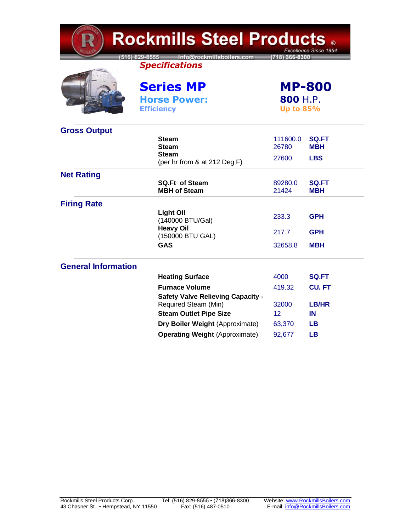| <b>Rockmills Steel Products 。</b><br>Excellence Since 1954 |                                                                  |                                               |                            |  |
|------------------------------------------------------------|------------------------------------------------------------------|-----------------------------------------------|----------------------------|--|
|                                                            | 516) 829-8555 Info@rockmillsboilers.com<br><b>Specifications</b> | (718) 366-8300                                |                            |  |
|                                                            | <b>Series MP</b><br><b>Horse Power:</b><br><b>Efficiency</b>     | <b>MP-800</b><br>800 H.P.<br><b>Up to 85%</b> |                            |  |
| <b>Gross Output</b>                                        |                                                                  |                                               |                            |  |
|                                                            | <b>Steam</b><br><b>Steam</b>                                     | 111600.0<br>26780                             | SQ.FT<br><b>MBH</b>        |  |
|                                                            | <b>Steam</b><br>(per hr from & at 212 Deg F)                     | 27600                                         | <b>LBS</b>                 |  |
| <b>Net Rating</b>                                          |                                                                  |                                               |                            |  |
|                                                            | <b>SQ.Ft of Steam</b><br><b>MBH of Steam</b>                     | 89280.0<br>21424                              | <b>SQ.FT</b><br><b>MBH</b> |  |
| <b>Firing Rate</b>                                         |                                                                  |                                               |                            |  |
|                                                            | <b>Light Oil</b><br>(140000 BTU/Gal)                             | 233.3                                         | <b>GPH</b>                 |  |
|                                                            | <b>Heavy Oil</b><br>(150000 BTU GAL)                             | 217.7                                         | <b>GPH</b>                 |  |
|                                                            | <b>GAS</b>                                                       | 32658.8                                       | <b>MBH</b>                 |  |
| <b>General Information</b>                                 |                                                                  |                                               |                            |  |
|                                                            | <b>Heating Surface</b>                                           | 4000                                          | SQ.FT                      |  |
|                                                            | <b>Furnace Volume</b>                                            | 419.32                                        | <b>CU. FT</b>              |  |
|                                                            | <b>Safety Valve Relieving Capacity -</b><br>Required Steam (Min) | 32000                                         | <b>LB/HR</b>               |  |
|                                                            | <b>Steam Outlet Pipe Size</b>                                    | 12                                            | IN                         |  |
|                                                            | Dry Boiler Weight (Approximate)                                  | 63,370                                        | <b>LB</b>                  |  |
|                                                            | <b>Operating Weight (Approximate)</b>                            | 92,677                                        | <b>LB</b>                  |  |

 $\mathbf{u}$  and  $\mathbf{u}$